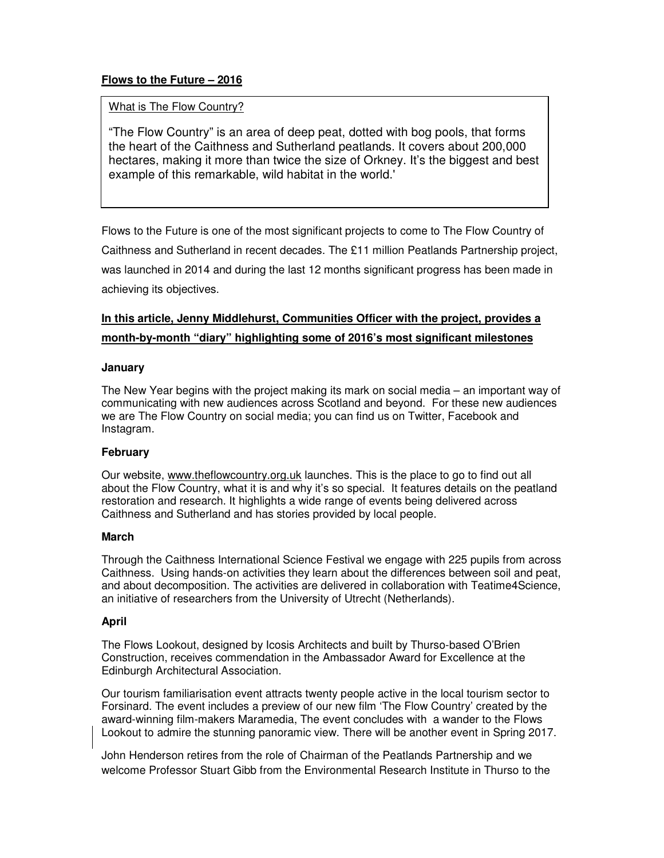## **Flows to the Future – 2016**

## What is The Flow Country?

"The Flow Country" is an area of deep peat, dotted with bog pools, that forms the heart of the Caithness and Sutherland peatlands. It covers about 200,000 hectares, making it more than twice the size of Orkney. It's the biggest and best example of this remarkable, wild habitat in the world.'

Flows to the Future is one of the most significant projects to come to The Flow Country of Caithness and Sutherland in recent decades. The £11 million Peatlands Partnership project, was launched in 2014 and during the last 12 months significant progress has been made in achieving its objectives.

# **In this article, Jenny Middlehurst, Communities Officer with the project, provides a month-by-month "diary" highlighting some of 2016's most significant milestones**

#### **January**

The New Year begins with the project making its mark on social media – an important way of communicating with new audiences across Scotland and beyond. For these new audiences we are The Flow Country on social media; you can find us on Twitter, Facebook and Instagram.

## **February**

Our website, www.theflowcountry.org.uk launches. This is the place to go to find out all about the Flow Country, what it is and why it's so special. It features details on the peatland restoration and research. It highlights a wide range of events being delivered across Caithness and Sutherland and has stories provided by local people.

#### **March**

Through the Caithness International Science Festival we engage with 225 pupils from across Caithness. Using hands-on activities they learn about the differences between soil and peat, and about decomposition. The activities are delivered in collaboration with Teatime4Science, an initiative of researchers from the University of Utrecht (Netherlands).

#### **April**

The Flows Lookout, designed by Icosis Architects and built by Thurso-based O'Brien Construction, receives commendation in the Ambassador Award for Excellence at the Edinburgh Architectural Association.

Our tourism familiarisation event attracts twenty people active in the local tourism sector to Forsinard. The event includes a preview of our new film 'The Flow Country' created by the award-winning film-makers Maramedia, The event concludes with a wander to the Flows Lookout to admire the stunning panoramic view. There will be another event in Spring 2017.

John Henderson retires from the role of Chairman of the Peatlands Partnership and we welcome Professor Stuart Gibb from the Environmental Research Institute in Thurso to the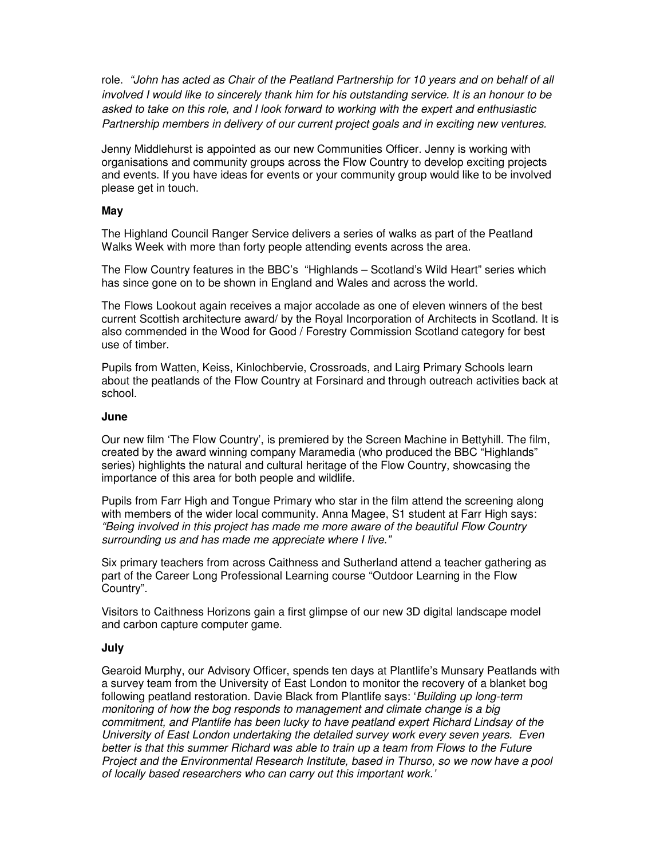role. "John has acted as Chair of the Peatland Partnership for 10 years and on behalf of all involved I would like to sincerely thank him for his outstanding service. It is an honour to be asked to take on this role, and I look forward to working with the expert and enthusiastic Partnership members in delivery of our current project goals and in exciting new ventures.

Jenny Middlehurst is appointed as our new Communities Officer. Jenny is working with organisations and community groups across the Flow Country to develop exciting projects and events. If you have ideas for events or your community group would like to be involved please get in touch.

#### **May**

The Highland Council Ranger Service delivers a series of walks as part of the Peatland Walks Week with more than forty people attending events across the area.

The Flow Country features in the BBC's "Highlands – Scotland's Wild Heart" series which has since gone on to be shown in England and Wales and across the world.

The Flows Lookout again receives a major accolade as one of eleven winners of the best current Scottish architecture award/ by the Royal Incorporation of Architects in Scotland. It is also commended in the Wood for Good / Forestry Commission Scotland category for best use of timber.

Pupils from Watten, Keiss, Kinlochbervie, Crossroads, and Lairg Primary Schools learn about the peatlands of the Flow Country at Forsinard and through outreach activities back at school.

#### **June**

Our new film 'The Flow Country', is premiered by the Screen Machine in Bettyhill. The film, created by the award winning company Maramedia (who produced the BBC "Highlands" series) highlights the natural and cultural heritage of the Flow Country, showcasing the importance of this area for both people and wildlife.

Pupils from Farr High and Tongue Primary who star in the film attend the screening along with members of the wider local community. Anna Magee, S1 student at Farr High says: "Being involved in this project has made me more aware of the beautiful Flow Country surrounding us and has made me appreciate where I live."

Six primary teachers from across Caithness and Sutherland attend a teacher gathering as part of the Career Long Professional Learning course "Outdoor Learning in the Flow Country".

Visitors to Caithness Horizons gain a first glimpse of our new 3D digital landscape model and carbon capture computer game.

#### **July**

Gearoid Murphy, our Advisory Officer, spends ten days at Plantlife's Munsary Peatlands with a survey team from the University of East London to monitor the recovery of a blanket bog following peatland restoration. Davie Black from Plantlife says: 'Building up long-term monitoring of how the bog responds to management and climate change is a big commitment, and Plantlife has been lucky to have peatland expert Richard Lindsay of the University of East London undertaking the detailed survey work every seven years. Even better is that this summer Richard was able to train up a team from Flows to the Future Project and the Environmental Research Institute, based in Thurso, so we now have a pool of locally based researchers who can carry out this important work.'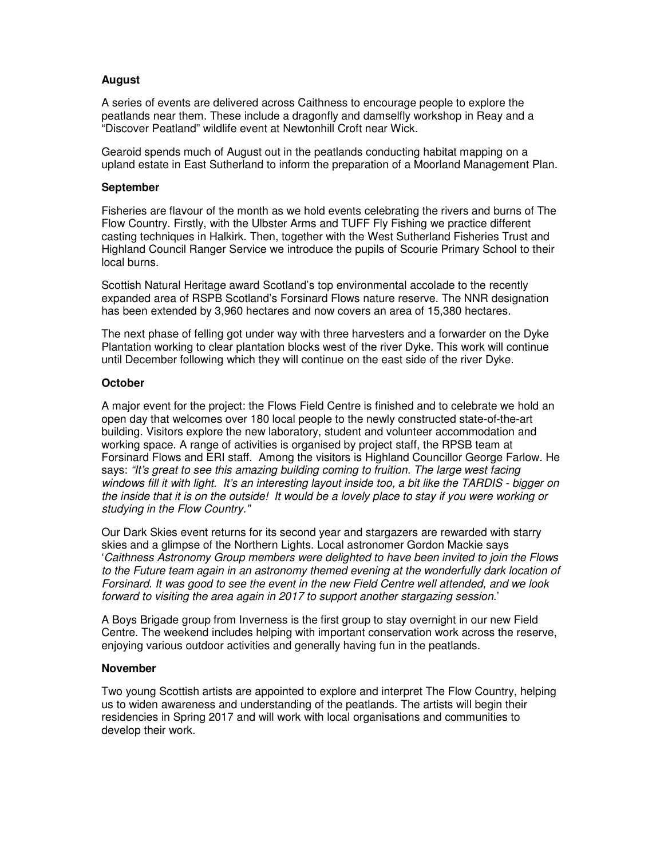## **August**

A series of events are delivered across Caithness to encourage people to explore the peatlands near them. These include a dragonfly and damselfly workshop in Reay and a "Discover Peatland" wildlife event at Newtonhill Croft near Wick.

Gearoid spends much of August out in the peatlands conducting habitat mapping on a upland estate in East Sutherland to inform the preparation of a Moorland Management Plan.

#### **September**

Fisheries are flavour of the month as we hold events celebrating the rivers and burns of The Flow Country. Firstly, with the Ulbster Arms and TUFF Fly Fishing we practice different casting techniques in Halkirk. Then, together with the West Sutherland Fisheries Trust and Highland Council Ranger Service we introduce the pupils of Scourie Primary School to their local burns.

Scottish Natural Heritage award Scotland's top environmental accolade to the recently expanded area of RSPB Scotland's Forsinard Flows nature reserve. The NNR designation has been extended by 3,960 hectares and now covers an area of 15,380 hectares.

The next phase of felling got under way with three harvesters and a forwarder on the Dyke Plantation working to clear plantation blocks west of the river Dyke. This work will continue until December following which they will continue on the east side of the river Dyke.

## **October**

A major event for the project: the Flows Field Centre is finished and to celebrate we hold an open day that welcomes over 180 local people to the newly constructed state-of-the-art building. Visitors explore the new laboratory, student and volunteer accommodation and working space. A range of activities is organised by project staff, the RPSB team at Forsinard Flows and ERI staff. Among the visitors is Highland Councillor George Farlow. He says: "It's great to see this amazing building coming to fruition. The large west facing windows fill it with light. It's an interesting layout inside too, a bit like the TARDIS - bigger on the inside that it is on the outside! It would be a lovely place to stay if you were working or studying in the Flow Country."

Our Dark Skies event returns for its second year and stargazers are rewarded with starry skies and a glimpse of the Northern Lights. Local astronomer Gordon Mackie says 'Caithness Astronomy Group members were delighted to have been invited to join the Flows to the Future team again in an astronomy themed evening at the wonderfully dark location of Forsinard. It was good to see the event in the new Field Centre well attended, and we look forward to visiting the area again in 2017 to support another stargazing session.'

A Boys Brigade group from Inverness is the first group to stay overnight in our new Field Centre. The weekend includes helping with important conservation work across the reserve, enjoying various outdoor activities and generally having fun in the peatlands.

#### **November**

Two young Scottish artists are appointed to explore and interpret The Flow Country, helping us to widen awareness and understanding of the peatlands. The artists will begin their residencies in Spring 2017 and will work with local organisations and communities to develop their work.